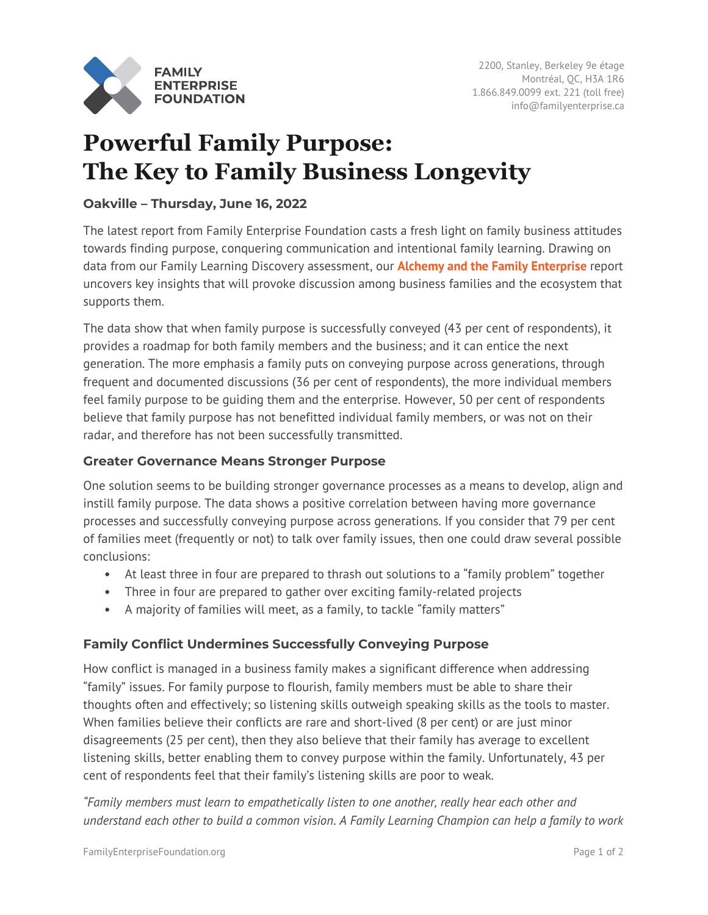

# **Powerful Family Purpose: The Key to Family Business Longevity**

## **Oakville – Thursday, June 16, 2022**

The latest report from Family Enterprise Foundation casts a fresh light on family business attitudes towards finding purpose, conquering communication and intentional family learning. Drawing on data from our Family Learning Discovery assessment, our **[Alchemy and the Family Enterprise](https://familyenterprise.ca/wp-content/uploads/2022/06/Alchemy-and-the-Family-Enterprise-June-2022.pdf)** report uncovers key insights that will provoke discussion among business families and the ecosystem that supports them.

The data show that when family purpose is successfully conveyed (43 per cent of respondents), it provides a roadmap for both family members and the business; and it can entice the next generation. The more emphasis a family puts on conveying purpose across generations, through frequent and documented discussions (36 per cent of respondents), the more individual members feel family purpose to be guiding them and the enterprise. However, 50 per cent of respondents believe that family purpose has not benefitted individual family members, or was not on their radar, and therefore has not been successfully transmitted.

## **Greater Governance Means Stronger Purpose**

One solution seems to be building stronger governance processes as a means to develop, align and instill family purpose. The data shows a positive correlation between having more governance processes and successfully conveying purpose across generations. If you consider that 79 per cent of families meet (frequently or not) to talk over family issues, then one could draw several possible conclusions:

- At least three in four are prepared to thrash out solutions to a "family problem" together
- Three in four are prepared to gather over exciting family-related projects
- A majority of families will meet, as a family, to tackle "family matters"

## **Family Conflict Undermines Successfully Conveying Purpose**

How conflict is managed in a business family makes a significant difference when addressing "family" issues. For family purpose to flourish, family members must be able to share their thoughts often and effectively; so listening skills outweigh speaking skills as the tools to master. When families believe their conflicts are rare and short-lived (8 per cent) or are just minor disagreements (25 per cent), then they also believe that their family has average to excellent listening skills, better enabling them to convey purpose within the family. Unfortunately, 43 per cent of respondents feel that their family's listening skills are poor to weak.

*"Family members must learn to empathetically listen to one another, really hear each other and understand each other to build a common vision*. *A Family Learning Champion can help a family to work*